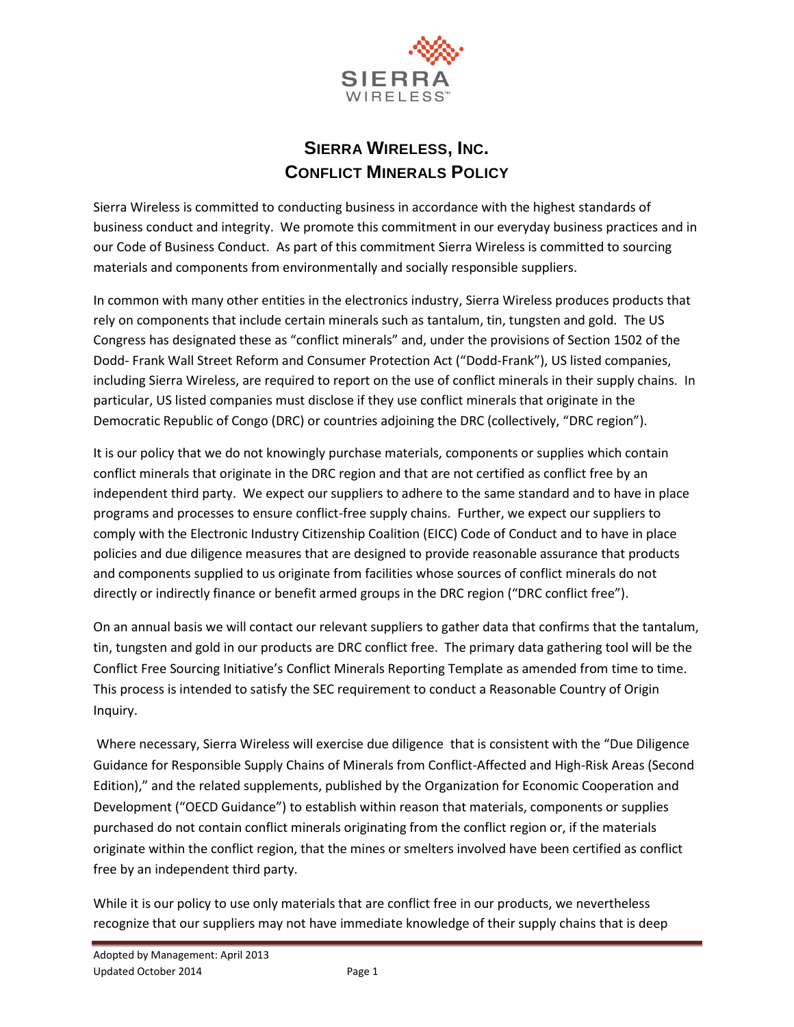

## **SIERRA WIRELESS, INC. CONFLICT MINERALS POLICY**

Sierra Wireless is committed to conducting business in accordance with the highest standards of business conduct and integrity. We promote this commitment in our everyday business practices and in our Code of Business Conduct. As part of this commitment Sierra Wireless is committed to sourcing materials and components from environmentally and socially responsible suppliers.

In common with many other entities in the electronics industry, Sierra Wireless produces products that rely on components that include certain minerals such as tantalum, tin, tungsten and gold. The US Congress has designated these as "conflict minerals" and, under the provisions of Section 1502 of the Dodd- Frank Wall Street Reform and Consumer Protection Act ("Dodd-Frank"), US listed companies, including Sierra Wireless, are required to report on the use of conflict minerals in their supply chains. In particular, US listed companies must disclose if they use conflict minerals that originate in the Democratic Republic of Congo (DRC) or countries adjoining the DRC (collectively, "DRC region").

It is our policy that we do not knowingly purchase materials, components or supplies which contain conflict minerals that originate in the DRC region and that are not certified as conflict free by an independent third party. We expect our suppliers to adhere to the same standard and to have in place programs and processes to ensure conflict-free supply chains. Further, we expect our suppliers to comply with the Electronic Industry Citizenship Coalition (EICC) Code of Conduct and to have in place policies and due diligence measures that are designed to provide reasonable assurance that products and components supplied to us originate from facilities whose sources of conflict minerals do not directly or indirectly finance or benefit armed groups in the DRC region ("DRC conflict free").

On an annual basis we will contact our relevant suppliers to gather data that confirms that the tantalum, tin, tungsten and gold in our products are DRC conflict free. The primary data gathering tool will be the Conflict Free Sourcing Initiative's Conflict Minerals Reporting Template as amended from time to time. This process is intended to satisfy the SEC requirement to conduct a Reasonable Country of Origin Inquiry.

Where necessary, Sierra Wireless will exercise due diligence that is consistent with the "Due Diligence Guidance for Responsible Supply Chains of Minerals from Conflict-Affected and High-Risk Areas (Second Edition)," and the related supplements, published by the Organization for Economic Cooperation and Development ("OECD Guidance") to establish within reason that materials, components or supplies purchased do not contain conflict minerals originating from the conflict region or, if the materials originate within the conflict region, that the mines or smelters involved have been certified as conflict free by an independent third party.

While it is our policy to use only materials that are conflict free in our products, we nevertheless recognize that our suppliers may not have immediate knowledge of their supply chains that is deep